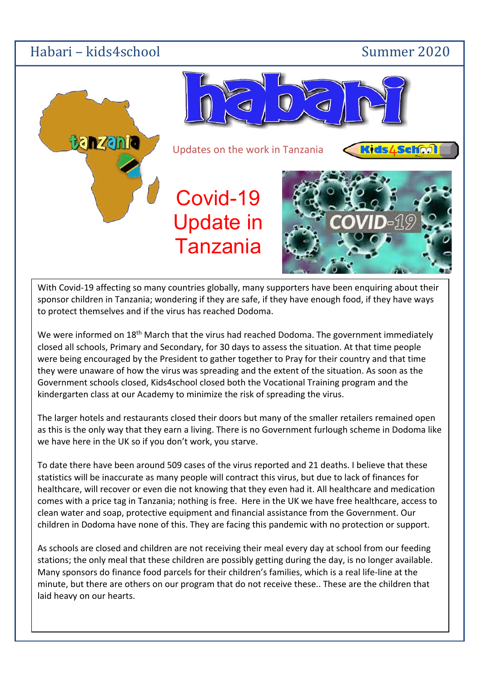## Habari – kids4school Summer 2020



With Covid-19 affecting so many countries globally, many supporters have been enquiring about their sponsor children in Tanzania; wondering if they are safe, if they have enough food, if they have ways to protect themselves and if the virus has reached Dodoma.

We were informed on 18<sup>th</sup> March that the virus had reached Dodoma. The government immediately closed all schools, Primary and Secondary, for 30 days to assess the situation. At that time people were being encouraged by the President to gather together to Pray for their country and that time they were unaware of how the virus was spreading and the extent of the situation. As soon as the Government schools closed, Kids4school closed both the Vocational Training program and the kindergarten class at our Academy to minimize the risk of spreading the virus.

The larger hotels and restaurants closed their doors but many of the smaller retailers remained open as this is the only way that they earn a living. There is no Government furlough scheme in Dodoma like we have here in the UK so if you don't work, you starve.

To date there have been around 509 cases of the virus reported and 21 deaths. I believe that these statistics will be inaccurate as many people will contract this virus, but due to lack of finances for healthcare, will recover or even die not knowing that they even had it. All healthcare and medication comes with a price tag in Tanzania; nothing is free. Here in the UK we have free healthcare, access to clean water and soap, protective equipment and financial assistance from the Government. Our children in Dodoma have none of this. They are facing this pandemic with no protection or support.

As schools are closed and children are not receiving their meal every day at school from our feeding stations; the only meal that these children are possibly getting during the day, is no longer available. Many sponsors do finance food parcels for their children's families, which is a real life-line at the minute, but there are others on our program that do not receive these.. These are the children that laid heavy on our hearts.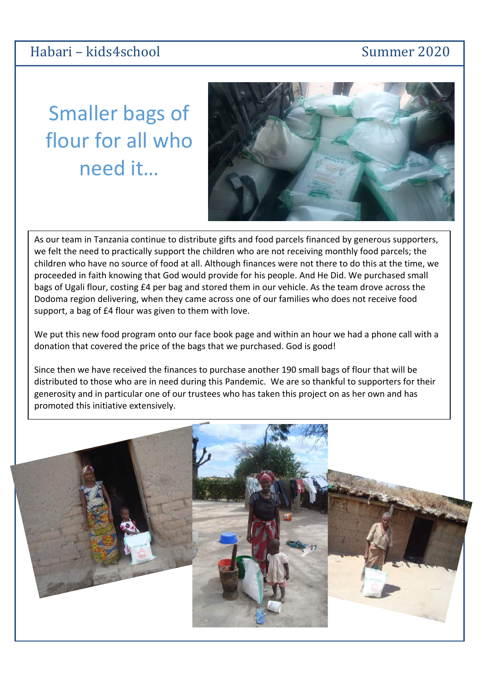Smaller bags of flour for all who need it…

Dodoma region delivering, when they came across one of our families who does not receive food<br>support, a bag of £4 flour was given to them with love. As our team in Tanzania continue to distribute gifts and food parcels financed by generous supporters, we felt the need to practically support the children who are not receiving monthly food parcels; the children who have no source of food at all. Although finances were not there to do this at the time, we proceeded in faith knowing that God would provide for his people. And He Did. We purchased small bags of Ugali flour, costing £4 per bag and stored them in our vehicle. As the team drove across the support, a bag of £4 flour was given to them with love.

We put this new food program onto our face book page and within an hour we had a phone call with a donation that covered the price of the bags that we purchased. God is good!

Since then we have received the finances to purchase another 190 small bags of flour that will be distributed to those who are in need during this Pandemic. We are so thankful to supporters for their generosity and in particular one of our trustees who has taken this project on as her own and has promoted this initiative extensively.



## Habari – kids4school Summer 2020

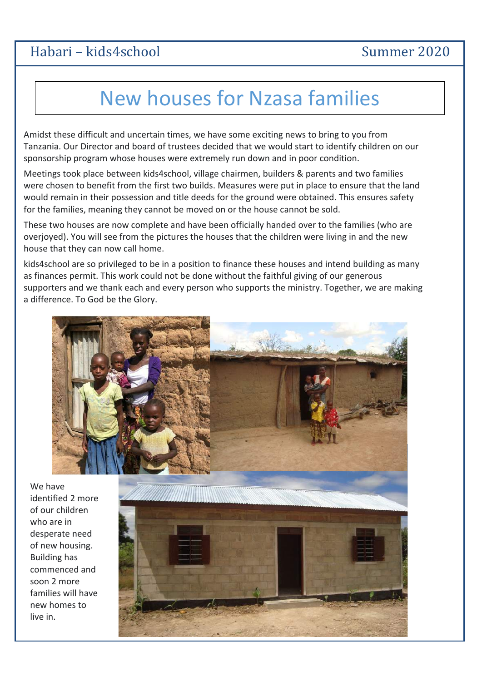# Habari – kids4school Summer 2020

# New houses for Nzasa families

Amidst these difficult and uncertain times, we have some exciting news to bring to you from Tanzania. Our Director and board of trustees decided that we would start to identify children on our sponsorship program whose houses were extremely run down and in poor condition.

Meetings took place between kids4school, village chairmen, builders & parents and two families were chosen to benefit from the first two builds. Measures were put in place to ensure that the land would remain in their possession and title deeds for the ground were obtained. This ensures safety for the families, meaning they cannot be moved on or the house cannot be sold.

These two houses are now complete and have been officially handed over to the families (who are overjoyed). You will see from the pictures the houses that the children were living in and the new house that they can now call home.

kids4school are so privileged to be in a position to finance these houses and intend building as many as finances permit. This work could not be done without the faithful giving of our generous supporters and we thank each and every person who supports the ministry. Together, we are making a difference. To God be the Glory.



We have identified 2 more of our children who are in desperate need of new housing. Building has commenced and soon 2 more families will have new homes to live in.